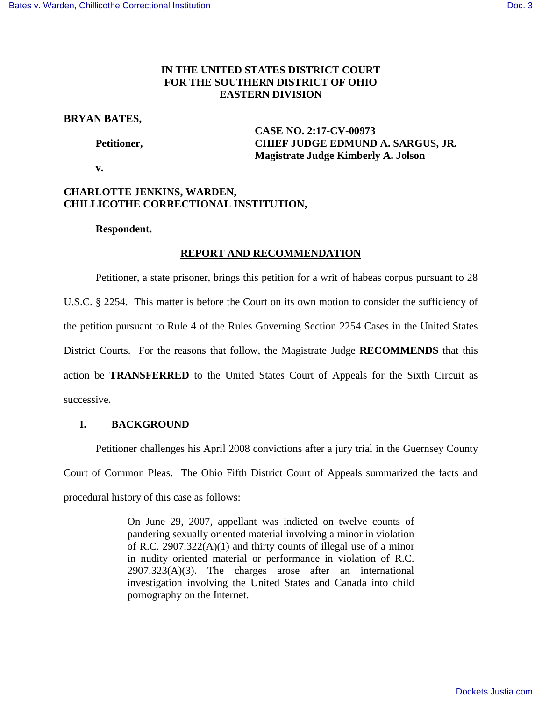# **IN THE UNITED STATES DISTRICT COURT FOR THE SOUTHERN DISTRICT OF OHIO EASTERN DIVISION**

# **BRYAN BATES,**

 **CASE NO. 2:17-CV-00973 Petitioner, CHIEF JUDGE EDMUND A. SARGUS, JR. Magistrate Judge Kimberly A. Jolson** 

 **v.** 

# **CHARLOTTE JENKINS, WARDEN, CHILLICOTHE CORRECTIONAL INSTITUTION,**

# **Respondent.**

# **REPORT AND RECOMMENDATION**

Petitioner, a state prisoner, brings this petition for a writ of habeas corpus pursuant to 28 U.S.C. § 2254. This matter is before the Court on its own motion to consider the sufficiency of the petition pursuant to Rule 4 of the Rules Governing Section 2254 Cases in the United States District Courts. For the reasons that follow, the Magistrate Judge **RECOMMENDS** that this action be **TRANSFERRED** to the United States Court of Appeals for the Sixth Circuit as successive.

# **I. BACKGROUND**

Petitioner challenges his April 2008 convictions after a jury trial in the Guernsey County Court of Common Pleas. The Ohio Fifth District Court of Appeals summarized the facts and procedural history of this case as follows:

> On June 29, 2007, appellant was indicted on twelve counts of pandering sexually oriented material involving a minor in violation of R.C. 2907.322(A)(1) and thirty counts of illegal use of a minor in nudity oriented material or performance in violation of R.C.  $2907.323(A)(3)$ . The charges arose after an international investigation involving the United States and Canada into child pornography on the Internet.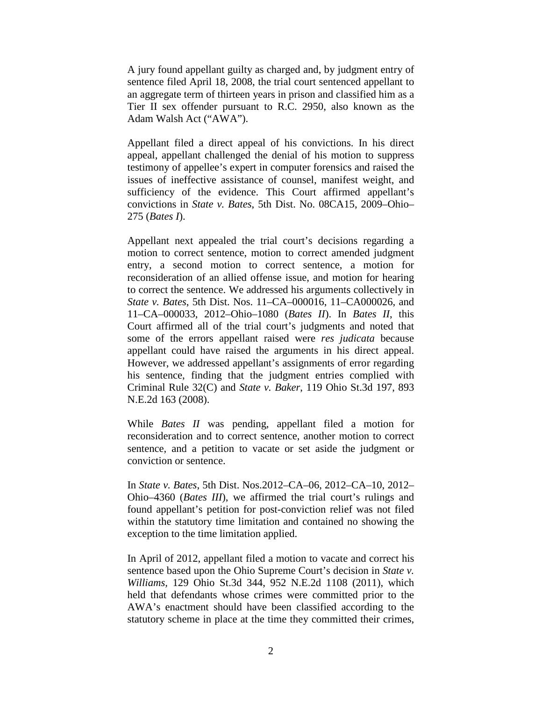A jury found appellant guilty as charged and, by judgment entry of sentence filed April 18, 2008, the trial court sentenced appellant to an aggregate term of thirteen years in prison and classified him as a Tier II sex offender pursuant to R.C. 2950, also known as the Adam Walsh Act ("AWA").

Appellant filed a direct appeal of his convictions. In his direct appeal, appellant challenged the denial of his motion to suppress testimony of appellee's expert in computer forensics and raised the issues of ineffective assistance of counsel, manifest weight, and sufficiency of the evidence. This Court affirmed appellant's convictions in *State v. Bates*, 5th Dist. No. 08CA15, 2009–Ohio– 275 (*Bates I*).

Appellant next appealed the trial court's decisions regarding a motion to correct sentence, motion to correct amended judgment entry, a second motion to correct sentence, a motion for reconsideration of an allied offense issue, and motion for hearing to correct the sentence. We addressed his arguments collectively in *State v. Bates*, 5th Dist. Nos. 11–CA–000016, 11–CA000026, and 11–CA–000033, 2012–Ohio–1080 (*Bates II*). In *Bates II*, this Court affirmed all of the trial court's judgments and noted that some of the errors appellant raised were *res judicata* because appellant could have raised the arguments in his direct appeal. However, we addressed appellant's assignments of error regarding his sentence, finding that the judgment entries complied with Criminal Rule 32(C) and *State v. Baker*, 119 Ohio St.3d 197, 893 N.E.2d 163 (2008).

While *Bates II* was pending, appellant filed a motion for reconsideration and to correct sentence, another motion to correct sentence, and a petition to vacate or set aside the judgment or conviction or sentence.

In *State v. Bates*, 5th Dist. Nos.2012–CA–06, 2012–CA–10, 2012– Ohio–4360 (*Bates III*), we affirmed the trial court's rulings and found appellant's petition for post-conviction relief was not filed within the statutory time limitation and contained no showing the exception to the time limitation applied.

In April of 2012, appellant filed a motion to vacate and correct his sentence based upon the Ohio Supreme Court's decision in *State v. Williams,* 129 Ohio St.3d 344, 952 N.E.2d 1108 (2011), which held that defendants whose crimes were committed prior to the AWA's enactment should have been classified according to the statutory scheme in place at the time they committed their crimes,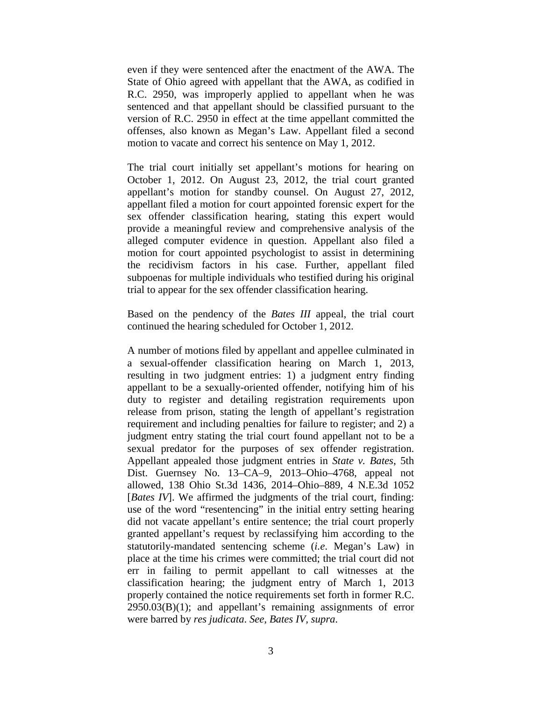even if they were sentenced after the enactment of the AWA. The State of Ohio agreed with appellant that the AWA, as codified in R.C. 2950, was improperly applied to appellant when he was sentenced and that appellant should be classified pursuant to the version of R.C. 2950 in effect at the time appellant committed the offenses, also known as Megan's Law. Appellant filed a second motion to vacate and correct his sentence on May 1, 2012.

The trial court initially set appellant's motions for hearing on October 1, 2012. On August 23, 2012, the trial court granted appellant's motion for standby counsel. On August 27, 2012, appellant filed a motion for court appointed forensic expert for the sex offender classification hearing, stating this expert would provide a meaningful review and comprehensive analysis of the alleged computer evidence in question. Appellant also filed a motion for court appointed psychologist to assist in determining the recidivism factors in his case. Further, appellant filed subpoenas for multiple individuals who testified during his original trial to appear for the sex offender classification hearing.

Based on the pendency of the *Bates III* appeal, the trial court continued the hearing scheduled for October 1, 2012.

A number of motions filed by appellant and appellee culminated in a sexual-offender classification hearing on March 1, 2013, resulting in two judgment entries: 1) a judgment entry finding appellant to be a sexually-oriented offender, notifying him of his duty to register and detailing registration requirements upon release from prison, stating the length of appellant's registration requirement and including penalties for failure to register; and 2) a judgment entry stating the trial court found appellant not to be a sexual predator for the purposes of sex offender registration. Appellant appealed those judgment entries in *State v. Bates*, 5th Dist. Guernsey No. 13–CA–9, 2013–Ohio–4768, appeal not allowed, 138 Ohio St.3d 1436, 2014–Ohio–889, 4 N.E.3d 1052 [*Bates IV*]. We affirmed the judgments of the trial court, finding: use of the word "resentencing" in the initial entry setting hearing did not vacate appellant's entire sentence; the trial court properly granted appellant's request by reclassifying him according to the statutorily-mandated sentencing scheme (*i.e*. Megan's Law) in place at the time his crimes were committed; the trial court did not err in failing to permit appellant to call witnesses at the classification hearing; the judgment entry of March 1, 2013 properly contained the notice requirements set forth in former R.C. 2950.03(B)(1); and appellant's remaining assignments of error were barred by *res judicata*. *See, Bates IV, supra*.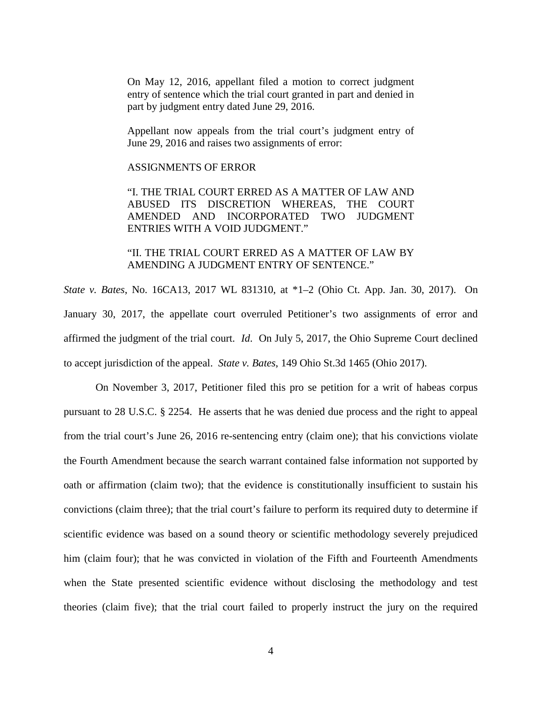On May 12, 2016, appellant filed a motion to correct judgment entry of sentence which the trial court granted in part and denied in part by judgment entry dated June 29, 2016.

Appellant now appeals from the trial court's judgment entry of June 29, 2016 and raises two assignments of error:

### ASSIGNMENTS OF ERROR

"I. THE TRIAL COURT ERRED AS A MATTER OF LAW AND ABUSED ITS DISCRETION WHEREAS, THE COURT AMENDED AND INCORPORATED TWO JUDGMENT ENTRIES WITH A VOID JUDGMENT."

"II. THE TRIAL COURT ERRED AS A MATTER OF LAW BY AMENDING A JUDGMENT ENTRY OF SENTENCE."

*State v. Bates*, No. 16CA13, 2017 WL 831310, at \*1–2 (Ohio Ct. App. Jan. 30, 2017). On January 30, 2017, the appellate court overruled Petitioner's two assignments of error and affirmed the judgment of the trial court. *Id*. On July 5, 2017, the Ohio Supreme Court declined to accept jurisdiction of the appeal. *State v. Bates*, 149 Ohio St.3d 1465 (Ohio 2017).

On November 3, 2017, Petitioner filed this pro se petition for a writ of habeas corpus pursuant to 28 U.S.C. § 2254. He asserts that he was denied due process and the right to appeal from the trial court's June 26, 2016 re-sentencing entry (claim one); that his convictions violate the Fourth Amendment because the search warrant contained false information not supported by oath or affirmation (claim two); that the evidence is constitutionally insufficient to sustain his convictions (claim three); that the trial court's failure to perform its required duty to determine if scientific evidence was based on a sound theory or scientific methodology severely prejudiced him (claim four); that he was convicted in violation of the Fifth and Fourteenth Amendments when the State presented scientific evidence without disclosing the methodology and test theories (claim five); that the trial court failed to properly instruct the jury on the required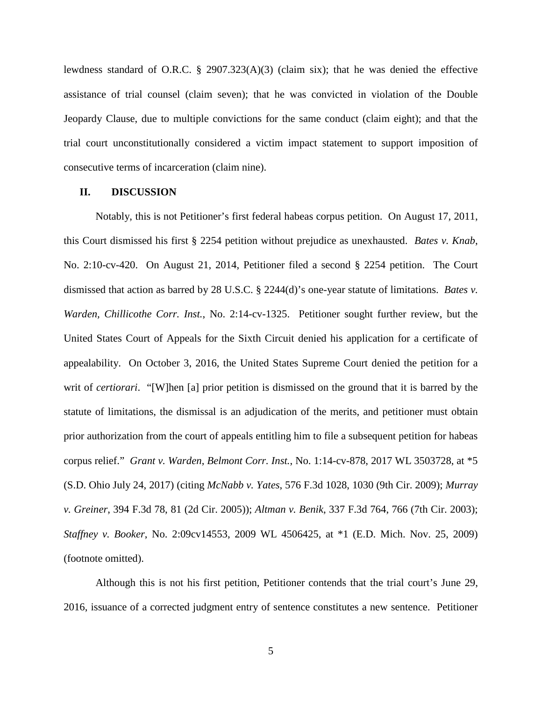lewdness standard of O.R.C. § 2907.323(A)(3) (claim six); that he was denied the effective assistance of trial counsel (claim seven); that he was convicted in violation of the Double Jeopardy Clause, due to multiple convictions for the same conduct (claim eight); and that the trial court unconstitutionally considered a victim impact statement to support imposition of consecutive terms of incarceration (claim nine).

# **II. DISCUSSION**

 Notably, this is not Petitioner's first federal habeas corpus petition. On August 17, 2011, this Court dismissed his first § 2254 petition without prejudice as unexhausted. *Bates v. Knab*, No. 2:10-cv-420. On August 21, 2014, Petitioner filed a second § 2254 petition. The Court dismissed that action as barred by 28 U.S.C. § 2244(d)'s one-year statute of limitations. *Bates v. Warden, Chillicothe Corr. Inst.*, No. 2:14-cv-1325. Petitioner sought further review, but the United States Court of Appeals for the Sixth Circuit denied his application for a certificate of appealability. On October 3, 2016, the United States Supreme Court denied the petition for a writ of *certiorari*. "[W]hen [a] prior petition is dismissed on the ground that it is barred by the statute of limitations, the dismissal is an adjudication of the merits, and petitioner must obtain prior authorization from the court of appeals entitling him to file a subsequent petition for habeas corpus relief." *Grant v. Warden*, *Belmont Corr. Inst.*, No. 1:14-cv-878, 2017 WL 3503728, at \*5 (S.D. Ohio July 24, 2017) (citing *McNabb v. Yates*, 576 F.3d 1028, 1030 (9th Cir. 2009); *Murray v. Greiner*, 394 F.3d 78, 81 (2d Cir. 2005)); *Altman v. Benik*, 337 F.3d 764, 766 (7th Cir. 2003); *Staffney v. Booker*, No. 2:09cv14553, 2009 WL 4506425, at \*1 (E.D. Mich. Nov. 25, 2009) (footnote omitted).

Although this is not his first petition, Petitioner contends that the trial court's June 29, 2016, issuance of a corrected judgment entry of sentence constitutes a new sentence. Petitioner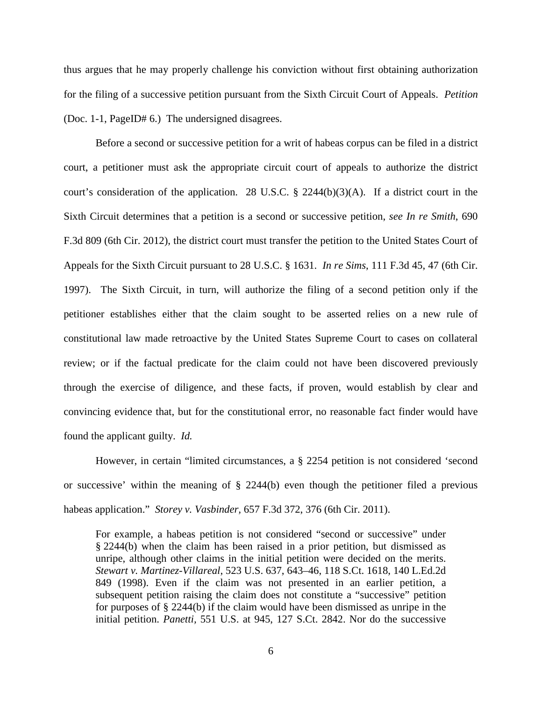thus argues that he may properly challenge his conviction without first obtaining authorization for the filing of a successive petition pursuant from the Sixth Circuit Court of Appeals. *Petition* (Doc. 1-1, PageID# 6.) The undersigned disagrees.

Before a second or successive petition for a writ of habeas corpus can be filed in a district court, a petitioner must ask the appropriate circuit court of appeals to authorize the district court's consideration of the application. 28 U.S.C. § 2244(b)(3)(A). If a district court in the Sixth Circuit determines that a petition is a second or successive petition, *see In re Smith*, 690 F.3d 809 (6th Cir. 2012), the district court must transfer the petition to the United States Court of Appeals for the Sixth Circuit pursuant to 28 U.S.C. § 1631. *In re Sims*, 111 F.3d 45, 47 (6th Cir. 1997). The Sixth Circuit, in turn, will authorize the filing of a second petition only if the petitioner establishes either that the claim sought to be asserted relies on a new rule of constitutional law made retroactive by the United States Supreme Court to cases on collateral review; or if the factual predicate for the claim could not have been discovered previously through the exercise of diligence, and these facts, if proven, would establish by clear and convincing evidence that, but for the constitutional error, no reasonable fact finder would have found the applicant guilty. *Id.*

However, in certain "limited circumstances, a § 2254 petition is not considered 'second or successive' within the meaning of § 2244(b) even though the petitioner filed a previous habeas application." *Storey v. Vasbinder,* 657 F.3d 372, 376 (6th Cir. 2011).

For example, a habeas petition is not considered "second or successive" under § 2244(b) when the claim has been raised in a prior petition, but dismissed as unripe, although other claims in the initial petition were decided on the merits. *Stewart v. Martinez-Villareal*, 523 U.S. 637, 643–46, 118 S.Ct. 1618, 140 L.Ed.2d 849 (1998). Even if the claim was not presented in an earlier petition, a subsequent petition raising the claim does not constitute a "successive" petition for purposes of § 2244(b) if the claim would have been dismissed as unripe in the initial petition. *Panetti,* 551 U.S. at 945, 127 S.Ct. 2842. Nor do the successive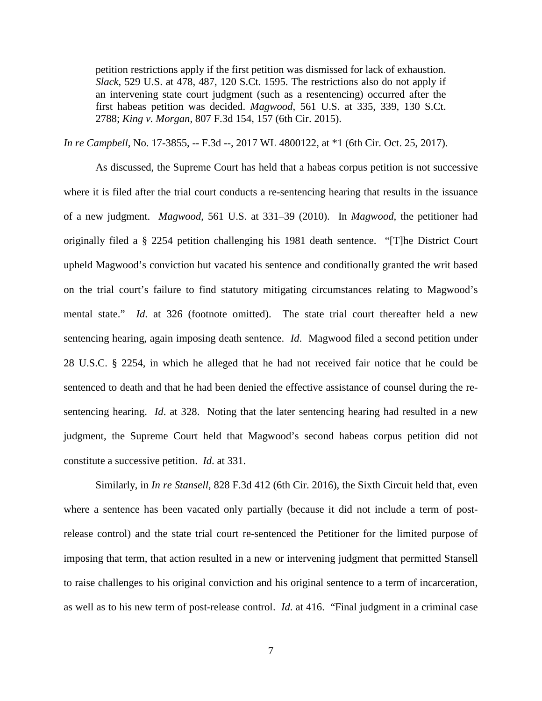petition restrictions apply if the first petition was dismissed for lack of exhaustion. *Slack*, 529 U.S. at 478, 487, 120 S.Ct. 1595. The restrictions also do not apply if an intervening state court judgment (such as a resentencing) occurred after the first habeas petition was decided. *Magwood*, 561 U.S. at 335, 339, 130 S.Ct. 2788; *King v. Morgan*, 807 F.3d 154, 157 (6th Cir. 2015).

*In re Campbell*, No. 17-3855, -- F.3d --, 2017 WL 4800122, at \*1 (6th Cir. Oct. 25, 2017).

As discussed, the Supreme Court has held that a habeas corpus petition is not successive where it is filed after the trial court conducts a re-sentencing hearing that results in the issuance of a new judgment. *Magwood*, 561 U.S. at 331–39 (2010). In *Magwood*, the petitioner had originally filed a § 2254 petition challenging his 1981 death sentence. "[T]he District Court upheld Magwood's conviction but vacated his sentence and conditionally granted the writ based on the trial court's failure to find statutory mitigating circumstances relating to Magwood's mental state." *Id*. at 326 (footnote omitted). The state trial court thereafter held a new sentencing hearing, again imposing death sentence. *Id*. Magwood filed a second petition under 28 U.S.C. § 2254, in which he alleged that he had not received fair notice that he could be sentenced to death and that he had been denied the effective assistance of counsel during the resentencing hearing. *Id*. at 328. Noting that the later sentencing hearing had resulted in a new judgment, the Supreme Court held that Magwood's second habeas corpus petition did not constitute a successive petition. *Id*. at 331.

Similarly, in *In re Stansell*, 828 F.3d 412 (6th Cir. 2016), the Sixth Circuit held that, even where a sentence has been vacated only partially (because it did not include a term of postrelease control) and the state trial court re-sentenced the Petitioner for the limited purpose of imposing that term, that action resulted in a new or intervening judgment that permitted Stansell to raise challenges to his original conviction and his original sentence to a term of incarceration, as well as to his new term of post-release control. *Id*. at 416. "Final judgment in a criminal case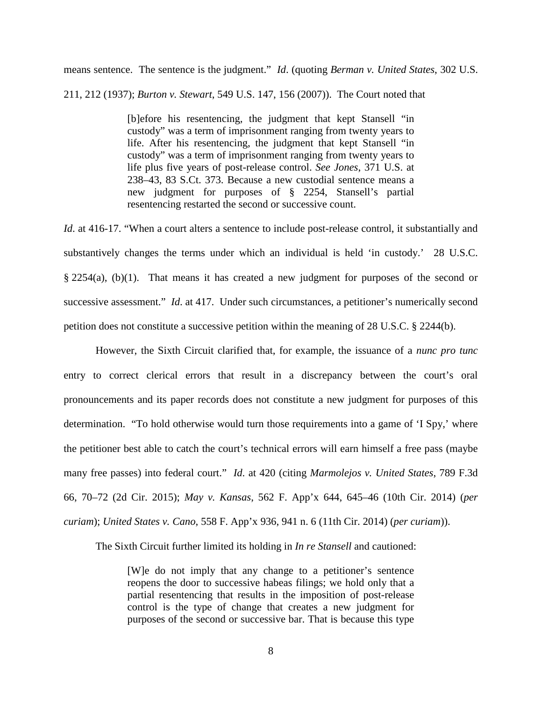means sentence. The sentence is the judgment." *Id*. (quoting *Berman v. United States*, 302 U.S. 211, 212 (1937); *Burton v. Stewart*, 549 U.S. 147, 156 (2007)). The Court noted that

> [b]efore his resentencing, the judgment that kept Stansell "in custody" was a term of imprisonment ranging from twenty years to life. After his resentencing, the judgment that kept Stansell "in custody" was a term of imprisonment ranging from twenty years to life plus five years of post-release control. *See Jones*, 371 U.S. at 238–43, 83 S.Ct. 373. Because a new custodial sentence means a new judgment for purposes of § 2254, Stansell's partial resentencing restarted the second or successive count.

*Id.* at 416-17. "When a court alters a sentence to include post-release control, it substantially and substantively changes the terms under which an individual is held 'in custody.' 28 U.S.C. § 2254(a), (b)(1). That means it has created a new judgment for purposes of the second or successive assessment." *Id.* at 417. Under such circumstances, a petitioner's numerically second petition does not constitute a successive petition within the meaning of 28 U.S.C. § 2244(b).

However, the Sixth Circuit clarified that, for example, the issuance of a *nunc pro tunc* entry to correct clerical errors that result in a discrepancy between the court's oral pronouncements and its paper records does not constitute a new judgment for purposes of this determination. "To hold otherwise would turn those requirements into a game of 'I Spy,' where the petitioner best able to catch the court's technical errors will earn himself a free pass (maybe many free passes) into federal court." *Id*. at 420 (citing *Marmolejos v. United States*, 789 F.3d 66, 70–72 (2d Cir. 2015); *May v. Kansas*, 562 F. App'x 644, 645–46 (10th Cir. 2014) (*per curiam*); *United States v. Cano*, 558 F. App'x 936, 941 n. 6 (11th Cir. 2014) (*per curiam*)).

The Sixth Circuit further limited its holding in *In re Stansell* and cautioned:

[W]e do not imply that any change to a petitioner's sentence reopens the door to successive habeas filings; we hold only that a partial resentencing that results in the imposition of post-release control is the type of change that creates a new judgment for purposes of the second or successive bar. That is because this type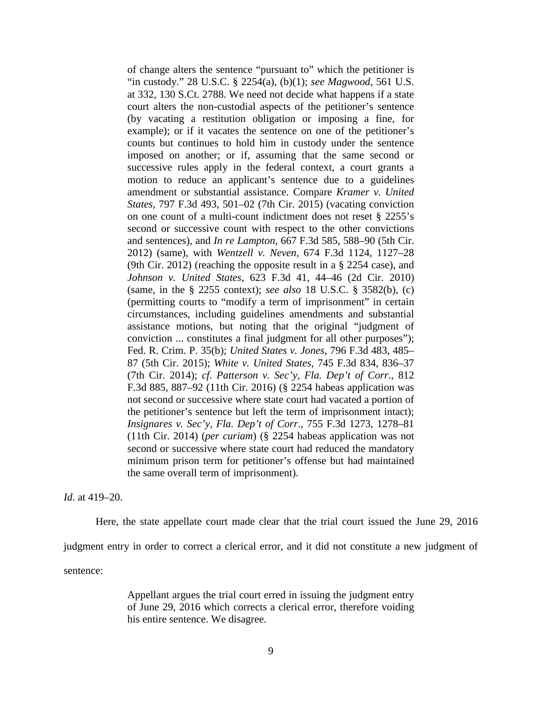of change alters the sentence "pursuant to" which the petitioner is "in custody." 28 U.S.C. § 2254(a), (b)(1); *see Magwood*, 561 U.S. at 332, 130 S.Ct. 2788. We need not decide what happens if a state court alters the non-custodial aspects of the petitioner's sentence (by vacating a restitution obligation or imposing a fine, for example); or if it vacates the sentence on one of the petitioner's counts but continues to hold him in custody under the sentence imposed on another; or if, assuming that the same second or successive rules apply in the federal context, a court grants a motion to reduce an applicant's sentence due to a guidelines amendment or substantial assistance. Compare *Kramer v. United States,* 797 F.3d 493, 501–02 (7th Cir. 2015) (vacating conviction on one count of a multi-count indictment does not reset § 2255's second or successive count with respect to the other convictions and sentences), and *In re Lampton*, 667 F.3d 585, 588–90 (5th Cir. 2012) (same), with *Wentzell v. Neven*, 674 F.3d 1124, 1127–28 (9th Cir. 2012) (reaching the opposite result in a § 2254 case), and *Johnson v. United States*, 623 F.3d 41, 44–46 (2d Cir. 2010) (same, in the § 2255 context); *see also* 18 U.S.C. § 3582(b), (c) (permitting courts to "modify a term of imprisonment" in certain circumstances, including guidelines amendments and substantial assistance motions, but noting that the original "judgment of conviction ... constitutes a final judgment for all other purposes"); Fed. R. Crim. P. 35(b); *United States v. Jones*, 796 F.3d 483, 485– 87 (5th Cir. 2015); *White v. United States*, 745 F.3d 834, 836–37 (7th Cir. 2014); *cf. Patterson v. Sec'y, Fla. Dep't of Corr*., 812 F.3d 885, 887–92 (11th Cir. 2016) (§ 2254 habeas application was not second or successive where state court had vacated a portion of the petitioner's sentence but left the term of imprisonment intact); *Insignares v. Sec'y, Fla. Dep't of Corr*., 755 F.3d 1273, 1278–81 (11th Cir. 2014) (*per curiam*) (§ 2254 habeas application was not second or successive where state court had reduced the mandatory minimum prison term for petitioner's offense but had maintained the same overall term of imprisonment).

*Id*. at 419–20.

Here, the state appellate court made clear that the trial court issued the June 29, 2016

judgment entry in order to correct a clerical error, and it did not constitute a new judgment of

sentence:

Appellant argues the trial court erred in issuing the judgment entry of June 29, 2016 which corrects a clerical error, therefore voiding his entire sentence. We disagree.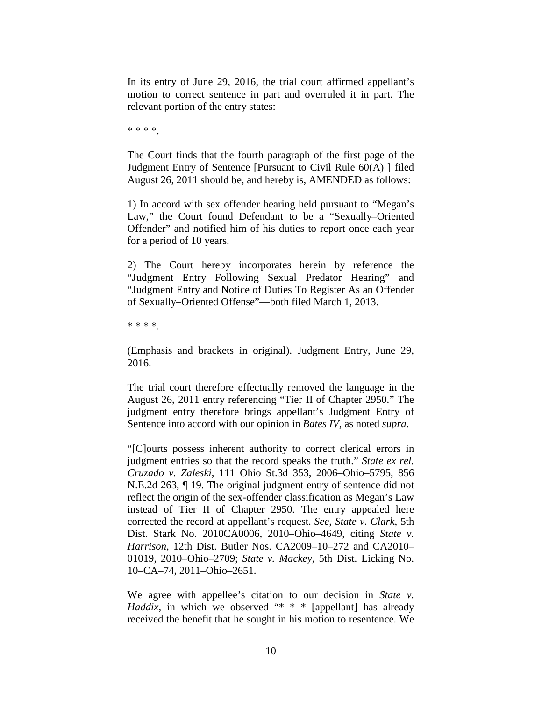In its entry of June 29, 2016, the trial court affirmed appellant's motion to correct sentence in part and overruled it in part. The relevant portion of the entry states:

\* \* \* \*.

The Court finds that the fourth paragraph of the first page of the Judgment Entry of Sentence [Pursuant to Civil Rule 60(A) ] filed August 26, 2011 should be, and hereby is, AMENDED as follows:

1) In accord with sex offender hearing held pursuant to "Megan's Law," the Court found Defendant to be a "Sexually–Oriented Offender" and notified him of his duties to report once each year for a period of 10 years.

2) The Court hereby incorporates herein by reference the "Judgment Entry Following Sexual Predator Hearing" and "Judgment Entry and Notice of Duties To Register As an Offender of Sexually–Oriented Offense"—both filed March 1, 2013.

\* \* \* \*.

(Emphasis and brackets in original). Judgment Entry, June 29, 2016.

The trial court therefore effectually removed the language in the August 26, 2011 entry referencing "Tier II of Chapter 2950." The judgment entry therefore brings appellant's Judgment Entry of Sentence into accord with our opinion in *Bates IV*, as noted *supra.*

"[C]ourts possess inherent authority to correct clerical errors in judgment entries so that the record speaks the truth." *State ex rel. Cruzado v. Zaleski*, 111 Ohio St.3d 353, 2006–Ohio–5795, 856 N.E.2d 263, ¶ 19. The original judgment entry of sentence did not reflect the origin of the sex-offender classification as Megan's Law instead of Tier II of Chapter 2950. The entry appealed here corrected the record at appellant's request. *See, State v. Clark*, 5th Dist. Stark No. 2010CA0006, 2010–Ohio–4649, citing *State v. Harrison*, 12th Dist. Butler Nos. CA2009–10–272 and CA2010– 01019, 2010–Ohio–2709; *State v. Mackey*, 5th Dist. Licking No. 10–CA–74, 2011–Ohio–2651.

We agree with appellee's citation to our decision in *State v. Haddix*, in which we observed "\* \* \* [appellant] has already received the benefit that he sought in his motion to resentence. We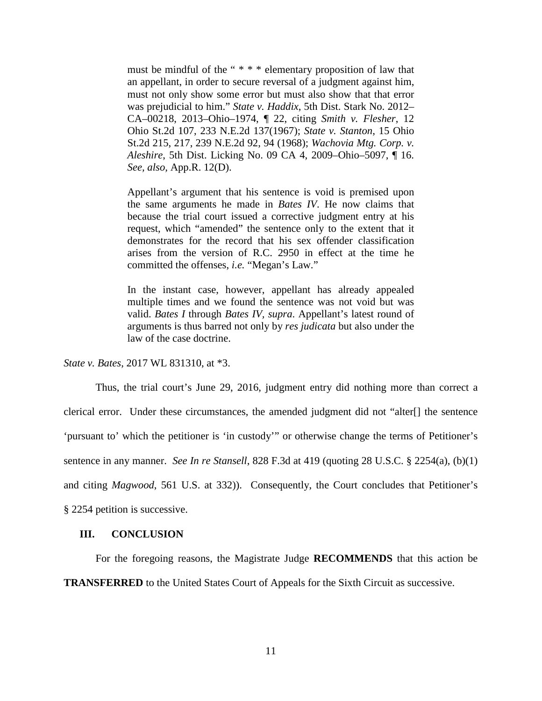must be mindful of the " \* \* \* elementary proposition of law that an appellant, in order to secure reversal of a judgment against him, must not only show some error but must also show that that error was prejudicial to him." *State v. Haddix*, 5th Dist. Stark No. 2012– CA–00218, 2013–Ohio–1974, ¶ 22, citing *Smith v. Flesher*, 12 Ohio St.2d 107, 233 N.E.2d 137(1967); *State v. Stanton*, 15 Ohio St.2d 215, 217, 239 N.E.2d 92, 94 (1968); *Wachovia Mtg. Corp. v. Aleshire*, 5th Dist. Licking No. 09 CA 4, 2009–Ohio–5097, ¶ 16. *See, also,* App.R. 12(D).

Appellant's argument that his sentence is void is premised upon the same arguments he made in *Bates IV*. He now claims that because the trial court issued a corrective judgment entry at his request, which "amended" the sentence only to the extent that it demonstrates for the record that his sex offender classification arises from the version of R.C. 2950 in effect at the time he committed the offenses, *i.e.* "Megan's Law."

In the instant case, however, appellant has already appealed multiple times and we found the sentence was not void but was valid. *Bates I* through *Bates IV, supra*. Appellant's latest round of arguments is thus barred not only by *res judicata* but also under the law of the case doctrine.

*State v. Bates*, 2017 WL 831310, at \*3.

Thus, the trial court's June 29, 2016, judgment entry did nothing more than correct a clerical error. Under these circumstances, the amended judgment did not "alter[] the sentence 'pursuant to' which the petitioner is 'in custody'" or otherwise change the terms of Petitioner's sentence in any manner. *See In re Stansell*, 828 F.3d at 419 (quoting 28 U.S.C. § 2254(a), (b)(1) and citing *Magwood*, 561 U.S. at 332)). Consequently, the Court concludes that Petitioner's § 2254 petition is successive.

### **III. CONCLUSION**

For the foregoing reasons, the Magistrate Judge **RECOMMENDS** that this action be

**TRANSFERRED** to the United States Court of Appeals for the Sixth Circuit as successive.